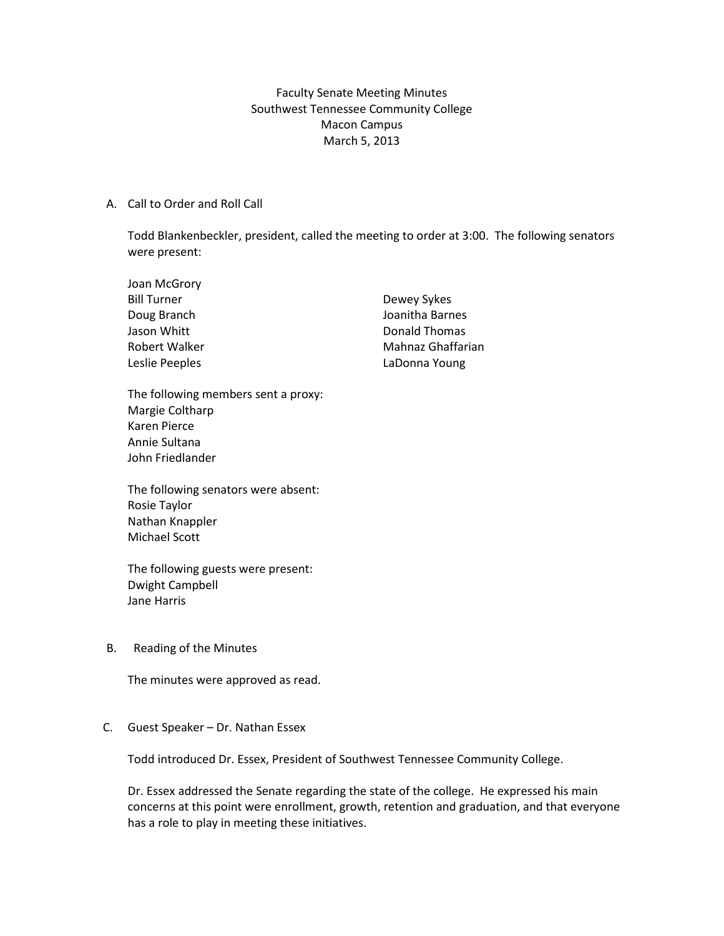Faculty Senate Meeting Minutes Southwest Tennessee Community College Macon Campus March 5, 2013

## A. Call to Order and Roll Call

Todd Blankenbeckler, president, called the meeting to order at 3:00. The following senators were present:

| Joan McGrory       |                   |
|--------------------|-------------------|
| <b>Bill Turner</b> | Dewey Sykes       |
| Doug Branch        | Joanitha Barnes   |
| Jason Whitt        | Donald Thomas     |
| Robert Walker      | Mahnaz Ghaffarian |
| Leslie Peeples     | LaDonna Young     |

The following members sent a proxy: Margie Coltharp Karen Pierce Annie Sultana John Friedlander

The following senators were absent: Rosie Taylor Nathan Knappler Michael Scott

The following guests were present: Dwight Campbell Jane Harris

## B. Reading of the Minutes

The minutes were approved as read.

## C. Guest Speaker – Dr. Nathan Essex

Todd introduced Dr. Essex, President of Southwest Tennessee Community College.

Dr. Essex addressed the Senate regarding the state of the college. He expressed his main concerns at this point were enrollment, growth, retention and graduation, and that everyone has a role to play in meeting these initiatives.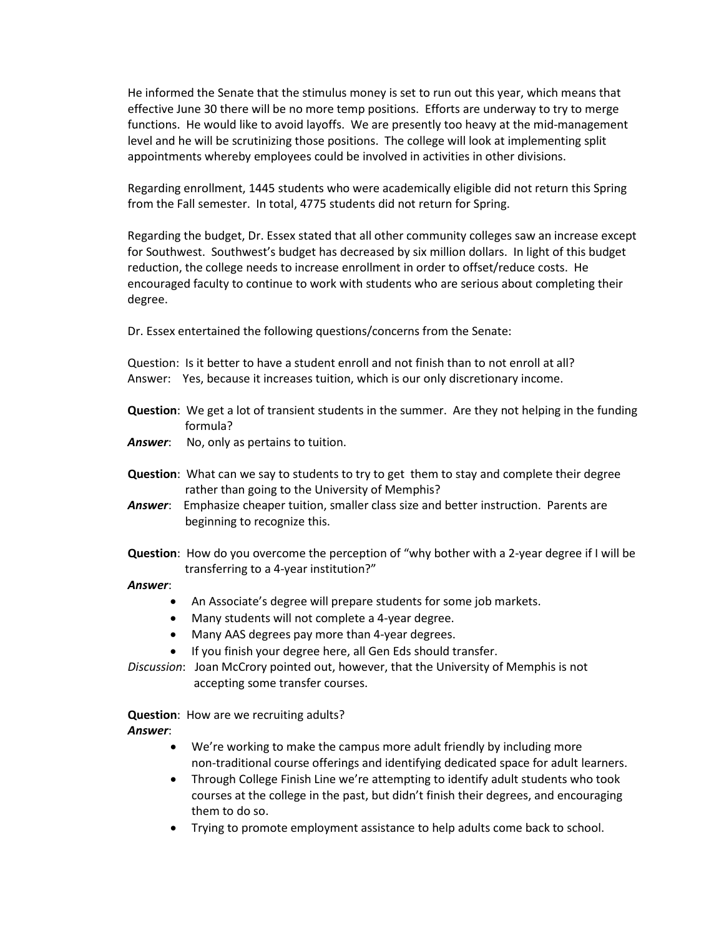He informed the Senate that the stimulus money is set to run out this year, which means that effective June 30 there will be no more temp positions. Efforts are underway to try to merge functions. He would like to avoid layoffs. We are presently too heavy at the mid-management level and he will be scrutinizing those positions. The college will look at implementing split appointments whereby employees could be involved in activities in other divisions.

Regarding enrollment, 1445 students who were academically eligible did not return this Spring from the Fall semester. In total, 4775 students did not return for Spring.

Regarding the budget, Dr. Essex stated that all other community colleges saw an increase except for Southwest. Southwest's budget has decreased by six million dollars. In light of this budget reduction, the college needs to increase enrollment in order to offset/reduce costs. He encouraged faculty to continue to work with students who are serious about completing their degree.

Dr. Essex entertained the following questions/concerns from the Senate:

Question: Is it better to have a student enroll and not finish than to not enroll at all? Answer: Yes, because it increases tuition, which is our only discretionary income.

- **Question**: We get a lot of transient students in the summer. Are they not helping in the funding formula?
- Answer: No, only as pertains to tuition.
- **Question**: What can we say to students to try to get them to stay and complete their degree rather than going to the University of Memphis?
- *Answer*: Emphasize cheaper tuition, smaller class size and better instruction. Parents are beginning to recognize this.
- **Question**: How do you overcome the perception of "why bother with a 2-year degree if I will be transferring to a 4-year institution?"
- *Answer*:
	- An Associate's degree will prepare students for some job markets.
	- Many students will not complete a 4-year degree.
	- Many AAS degrees pay more than 4-year degrees.
	- If you finish your degree here, all Gen Eds should transfer.

*Discussion*: Joan McCrory pointed out, however, that the University of Memphis is not accepting some transfer courses.

**Question**: How are we recruiting adults? *Answer*:

- We're working to make the campus more adult friendly by including more non-traditional course offerings and identifying dedicated space for adult learners.
- Through College Finish Line we're attempting to identify adult students who took courses at the college in the past, but didn't finish their degrees, and encouraging them to do so.
- Trying to promote employment assistance to help adults come back to school.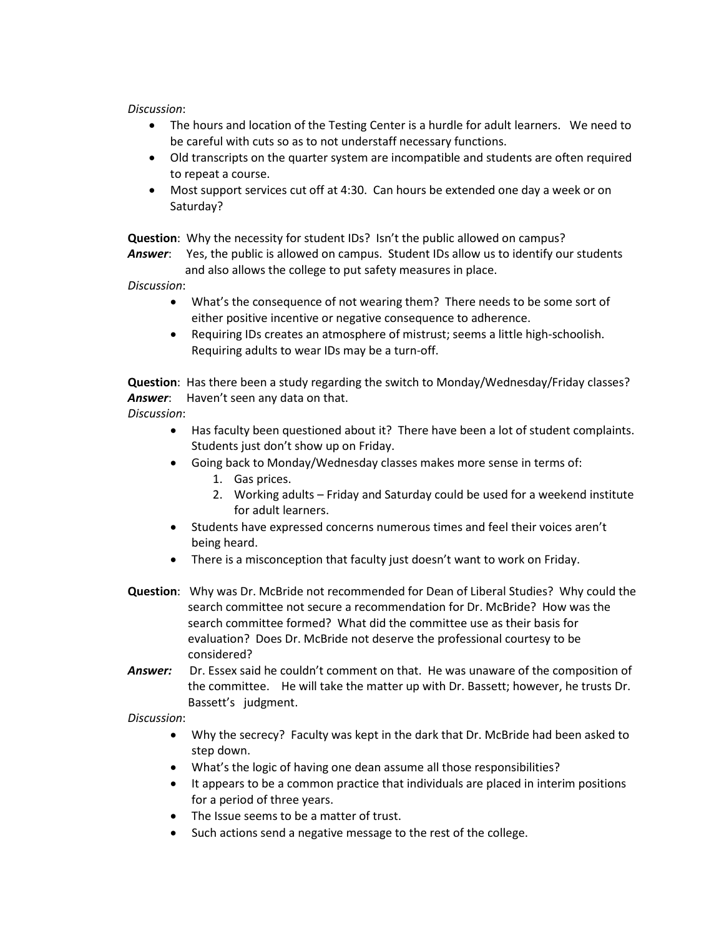*Discussion*:

- The hours and location of the Testing Center is a hurdle for adult learners. We need to be careful with cuts so as to not understaff necessary functions.
- Old transcripts on the quarter system are incompatible and students are often required to repeat a course.
- Most support services cut off at 4:30. Can hours be extended one day a week or on Saturday?

**Question**: Why the necessity for student IDs? Isn't the public allowed on campus?

*Answer*: Yes, the public is allowed on campus. Student IDs allow us to identify our students and also allows the college to put safety measures in place.

*Discussion*:

- What's the consequence of not wearing them? There needs to be some sort of either positive incentive or negative consequence to adherence.
- Requiring IDs creates an atmosphere of mistrust; seems a little high-schoolish. Requiring adults to wear IDs may be a turn-off.

**Question**: Has there been a study regarding the switch to Monday/Wednesday/Friday classes? *Answer*: Haven't seen any data on that.

*Discussion*:

- Has faculty been questioned about it? There have been a lot of student complaints. Students just don't show up on Friday.
- Going back to Monday/Wednesday classes makes more sense in terms of:
	- 1. Gas prices.
	- 2. Working adults Friday and Saturday could be used for a weekend institute for adult learners.
- Students have expressed concerns numerous times and feel their voices aren't being heard.
- There is a misconception that faculty just doesn't want to work on Friday.
- **Question**: Why was Dr. McBride not recommended for Dean of Liberal Studies? Why could the search committee not secure a recommendation for Dr. McBride? How was the search committee formed? What did the committee use as their basis for evaluation? Does Dr. McBride not deserve the professional courtesy to be considered?
- Answer: Dr. Essex said he couldn't comment on that. He was unaware of the composition of the committee. He will take the matter up with Dr. Bassett; however, he trusts Dr. Bassett's judgment.

## *Discussion*:

- Why the secrecy? Faculty was kept in the dark that Dr. McBride had been asked to step down.
- What's the logic of having one dean assume all those responsibilities?
- It appears to be a common practice that individuals are placed in interim positions for a period of three years.
- The Issue seems to be a matter of trust.
- Such actions send a negative message to the rest of the college.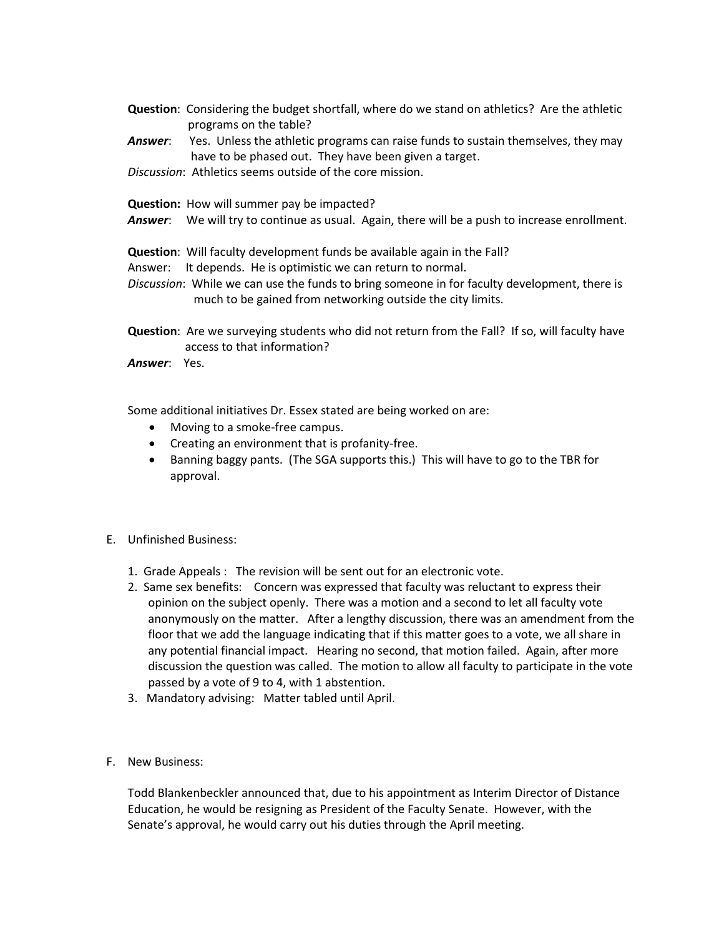- **Question**: Considering the budget shortfall, where do we stand on athletics? Are the athletic programs on the table?
- **Answer:** Yes. Unless the athletic programs can raise funds to sustain themselves, they may have to be phased out. They have been given a target.
- *Discussion*: Athletics seems outside of the core mission.
- **Question:** How will summer pay be impacted?
- *Answer*: We will try to continue as usual. Again, there will be a push to increase enrollment.

**Question**: Will faculty development funds be available again in the Fall?

- Answer: It depends. He is optimistic we can return to normal.
- *Discussion*: While we can use the funds to bring someone in for faculty development, there is much to be gained from networking outside the city limits.
- **Question**: Are we surveying students who did not return from the Fall? If so, will faculty have access to that information?

*Answer*: Yes.

Some additional initiatives Dr. Essex stated are being worked on are:

- Moving to a smoke-free campus.
- Creating an environment that is profanity-free.
- Banning baggy pants. (The SGA supports this.) This will have to go to the TBR for approval.
- E. Unfinished Business:
	- 1. Grade Appeals : The revision will be sent out for an electronic vote.
	- 2. Same sex benefits: Concern was expressed that faculty was reluctant to express their opinion on the subject openly. There was a motion and a second to let all faculty vote anonymously on the matter. After a lengthy discussion, there was an amendment from the floor that we add the language indicating that if this matter goes to a vote, we all share in any potential financial impact. Hearing no second, that motion failed. Again, after more discussion the question was called. The motion to allow all faculty to participate in the vote passed by a vote of 9 to 4, with 1 abstention.
	- 3. Mandatory advising: Matter tabled until April.
- F. New Business:

Todd Blankenbeckler announced that, due to his appointment as Interim Director of Distance Education, he would be resigning as President of the Faculty Senate. However, with the Senate's approval, he would carry out his duties through the April meeting.